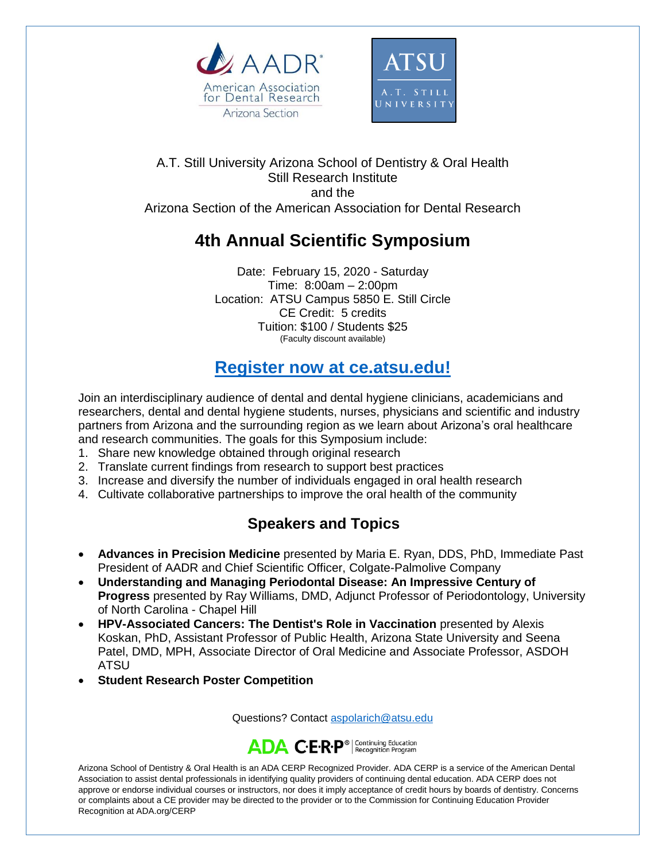



#### A.T. Still University Arizona School of Dentistry & Oral Health Still Research Institute and the Arizona Section of the American Association for Dental Research

# **4th Annual Scientific Symposium**

Date: February 15, 2020 - Saturday Time: 8:00am – 2:00pm Location: ATSU Campus 5850 E. Still Circle CE Credit: 5 credits Tuition: \$100 / Students \$25 (Faculty discount available)

## **[Register now at ce.atsu.edu!](https://ce.atsu.edu/continuing-dental-education/)**

Join an interdisciplinary audience of dental and dental hygiene clinicians, academicians and researchers, dental and dental hygiene students, nurses, physicians and scientific and industry partners from Arizona and the surrounding region as we learn about Arizona's oral healthcare and research communities. The goals for this Symposium include:

- 1. Share new knowledge obtained through original research
- 2. Translate current findings from research to support best practices
- 3. Increase and diversify the number of individuals engaged in oral health research
- 4. Cultivate collaborative partnerships to improve the oral health of the community

### **Speakers and Topics**

- **Advances in Precision Medicine** presented by Maria E. Ryan, DDS, PhD, Immediate Past President of AADR and Chief Scientific Officer, Colgate-Palmolive Company
- **Understanding and Managing Periodontal Disease: An Impressive Century of Progress** presented by Ray Williams, DMD, Adjunct Professor of Periodontology, University of North Carolina - Chapel Hill
- **HPV-Associated Cancers: The Dentist's Role in Vaccination** presented by Alexis Koskan, PhD, Assistant Professor of Public Health, Arizona State University and Seena Patel, DMD, MPH, Associate Director of Oral Medicine and Associate Professor, ASDOH ATSU
- **Student Research Poster Competition**

Questions? Contact [aspolarich@atsu.edu](mailto:aspolarich@atsu.edu)



Arizona School of Dentistry & Oral Health is an ADA CERP Recognized Provider. ADA CERP is a service of the American Dental Association to assist dental professionals in identifying quality providers of continuing dental education. ADA CERP does not approve or endorse individual courses or instructors, nor does it imply acceptance of credit hours by boards of dentistry. Concerns or complaints about a CE provider may be directed to the provider or to the Commission for Continuing Education Provider Recognition at ADA.org/CERP